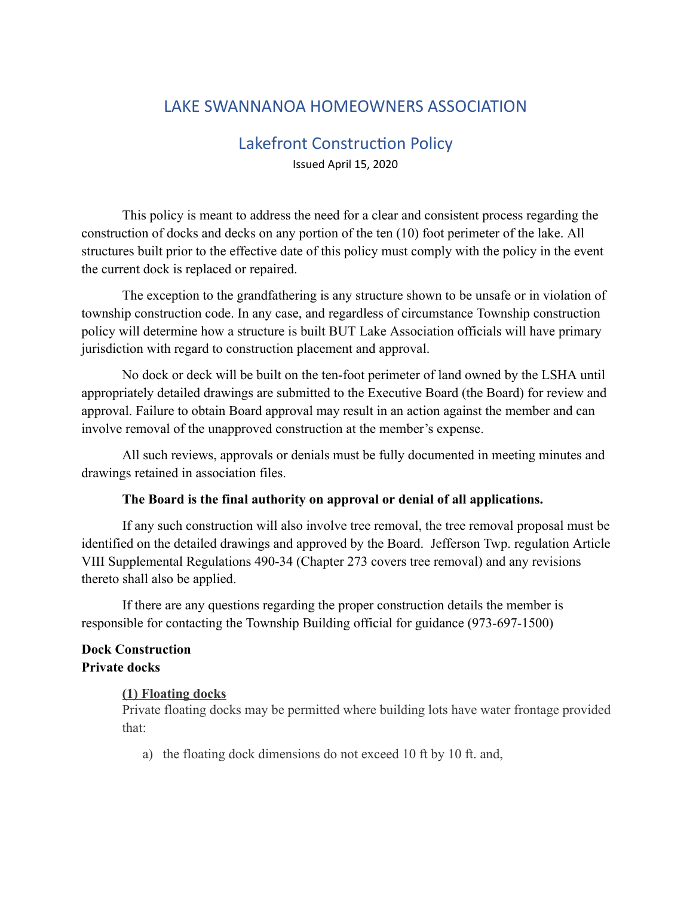# LAKE SWANNANOA HOMEOWNERS ASSOCIATION

# Lakefront Construction Policy Issued April 15, 2020

This policy is meant to address the need for a clear and consistent process regarding the construction of docks and decks on any portion of the ten (10) foot perimeter of the lake. All structures built prior to the effective date of this policy must comply with the policy in the event the current dock is replaced or repaired.

The exception to the grandfathering is any structure shown to be unsafe or in violation of township construction code. In any case, and regardless of circumstance Township construction policy will determine how a structure is built BUT Lake Association officials will have primary jurisdiction with regard to construction placement and approval.

No dock or deck will be built on the ten-foot perimeter of land owned by the LSHA until appropriately detailed drawings are submitted to the Executive Board (the Board) for review and approval. Failure to obtain Board approval may result in an action against the member and can involve removal of the unapproved construction at the member's expense.

All such reviews, approvals or denials must be fully documented in meeting minutes and drawings retained in association files.

#### **The Board is the final authority on approval or denial of all applications.**

If any such construction will also involve tree removal, the tree removal proposal must be identified on the detailed drawings and approved by the Board. Jefferson Twp. regulation Article VIII Supplemental Regulations 490-34 (Chapter 273 covers tree removal) and any revisions thereto shall also be applied.

If there are any questions regarding the proper construction details the member is responsible for contacting the Township Building official for guidance (973-697-1500)

#### **Dock Construction Private docks**

#### **[\(1\) F](https://ecode360.com/10286729#10286729)loating docks**

Private floating docks may be permitted where building lots have water frontage provided that:

a) the floating dock dimensions do not exceed 10 ft by 10 ft. and,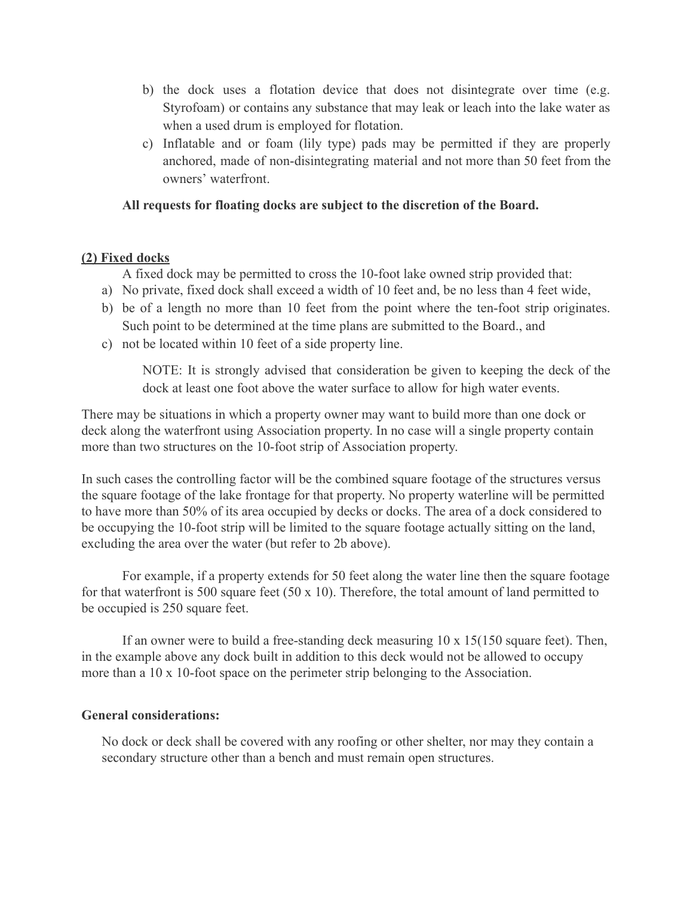- b) the dock uses a flotation device that does not disintegrate over time (e.g. Styrofoam) or contains any substance that may leak or leach into the lake water as when a used drum is employed for flotation.
- c) Inflatable and or foam (lily type) pads may be permitted if they are properly anchored, made of non-disintegrating material and not more than 50 feet from the owners' waterfront.

## **All requests for floating docks are subject to the discretion of the Board.**

## **[\(2\) F](https://ecode360.com/10286730#10286730)ixed docks**

A fixed dock may be permitted to cross the 10-foot lake owned strip provided that:

- a) No private, fixed dock shall exceed a width of 10 feet and, be no less than 4 feet wide,
- b) be of a length no more than 10 feet from the point where the ten-foot strip originates. Such point to be determined at the time plans are submitted to the Board., and
- c) not be located within 10 feet of a side property line.

NOTE: It is strongly advised that consideration be given to keeping the deck of the dock at least one foot above the water surface to allow for high water events.

There may be situations in which a property owner may want to build more than one dock or deck along the waterfront using Association property. In no case will a single property contain more than two structures on the 10-foot strip of Association property.

In such cases the controlling factor will be the combined square footage of the structures versus the square footage of the lake frontage for that property. No property waterline will be permitted to have more than 50% of its area occupied by decks or docks. The area of a dock considered to be occupying the 10-foot strip will be limited to the square footage actually sitting on the land, excluding the area over the water (but refer to 2b above).

For example, if a property extends for 50 feet along the water line then the square footage for that waterfront is 500 square feet (50 x 10). Therefore, the total amount of land permitted to be occupied is 250 square feet.

If an owner were to build a free-standing deck measuring  $10 \times 15(150)$  square feet). Then, in the example above any dock built in addition to this deck would not be allowed to occupy more than a 10 x 10-foot space on the perimeter strip belonging to the Association.

#### **General considerations:**

No dock or deck shall be covered with any roofing or other shelter, nor may they contain a secondary structure other than a bench and must remain open structures.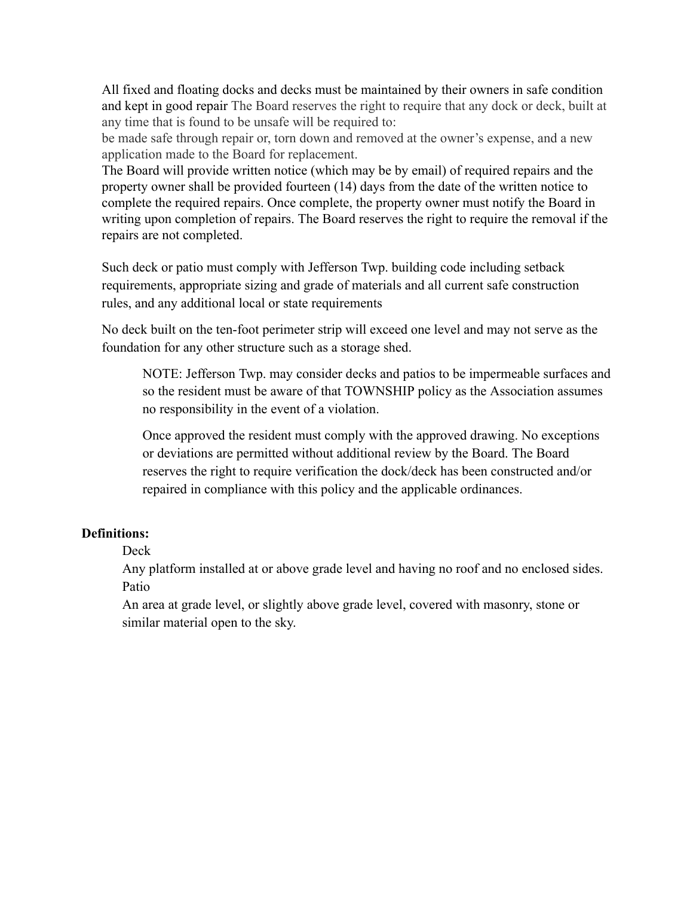All fixed and floating docks and decks must be maintained by their owners in safe condition and kept in good repair The Board reserves the right to require that any dock or deck, built at any time that is found to be unsafe will be required to:

be made safe through repair or, torn down and removed at the owner's expense, and a new application made to the Board for replacement.

The Board will provide written notice (which may be by email) of required repairs and the property owner shall be provided fourteen (14) days from the date of the written notice to complete the required repairs. Once complete, the property owner must notify the Board in writing upon completion of repairs. The Board reserves the right to require the removal if the repairs are not completed.

Such deck or patio must comply with Jefferson Twp. building code including setback requirements, appropriate sizing and grade of materials and all current safe construction rules, and any additional local or state requirements

No deck built on the ten-foot perimeter strip will exceed one level and may not serve as the foundation for any other structure such as a storage shed.

NOTE: Jefferson Twp. may consider decks and patios to be impermeable surfaces and so the resident must be aware of that TOWNSHIP policy as the Association assumes no responsibility in the event of a violation.

Once approved the resident must comply with the approved drawing. No exceptions or deviations are permitted without additional review by the Board. The Board reserves the right to require verification the dock/deck has been constructed and/or repaired in compliance with this policy and the applicable ordinances.

## **Definitions:**

Deck

Any platform installed at or above grade level and having no roof and no enclosed sides. Patio

An area at grade level, or slightly above grade level, covered with masonry, stone or similar material open to the sky.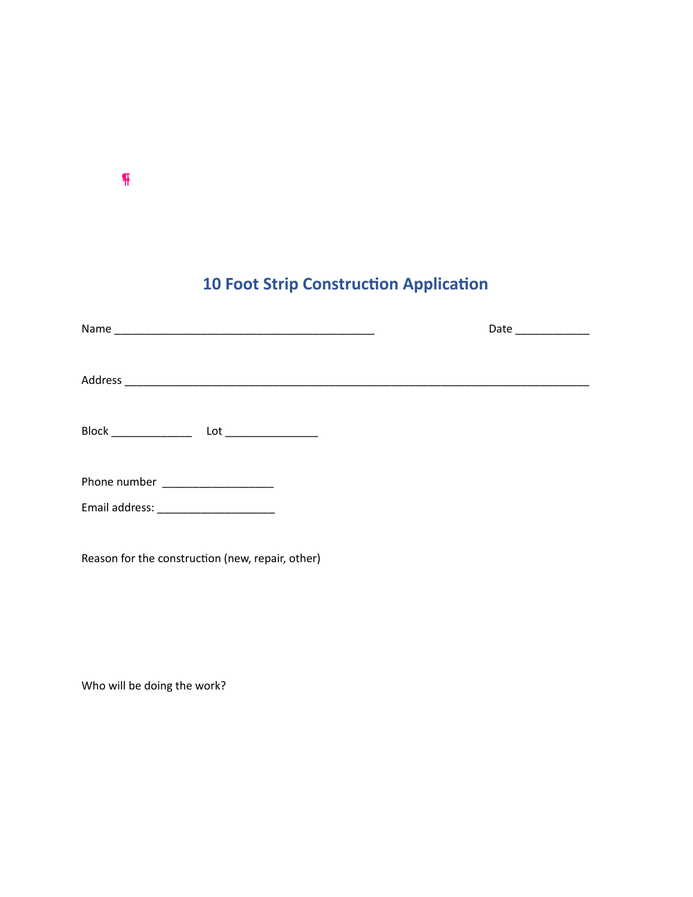# **10 Foot Strip Construction Application**

|                                                     | Date |
|-----------------------------------------------------|------|
|                                                     |      |
|                                                     |      |
| Phone number __________________                     |      |
| Email address: New York Changes and Senator Changes |      |
| Reason for the construction (new, repair, other)    |      |

Who will be doing the work?

¶